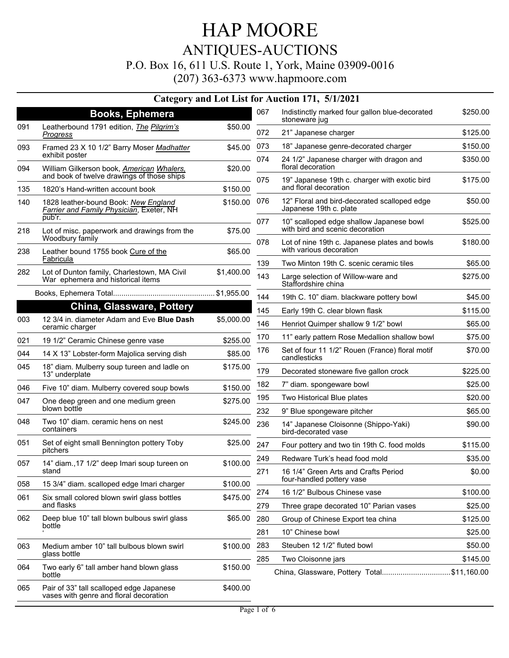## HAP MOORE ANTIQUES-AUCTIONS P.O. Box 16, 611 U.S. Route 1, York, Maine 03909-0016

|     |                                                                                            |            |            | Category and Lot List for Auction 171, 5/1/2021                             |                     |
|-----|--------------------------------------------------------------------------------------------|------------|------------|-----------------------------------------------------------------------------|---------------------|
|     | <b>Books, Ephemera</b>                                                                     |            | 067        | Indistinctly marked four gallon blue-decorated<br>stoneware jug             | \$250.00            |
| 091 | Leatherbound 1791 edition, The Pilgrim's<br><b>Progress</b>                                | \$50.00    | 072        | 21" Japanese charger                                                        | \$125.00            |
| 093 | Framed 23 X 10 1/2" Barry Moser Madhatter                                                  | \$45.00    | 073        | 18" Japanese genre-decorated charger                                        | \$150.00            |
| 094 | exhibit poster<br>William Gilkerson book, American Whalers,                                | \$20.00    | 074        | 24 1/2" Japanese charger with dragon and<br>floral decoration               | \$350.00            |
| 135 | and book of twelve drawings of those ships<br>1820's Hand-written account book             | \$150.00   | 075        | 19" Japanese 19th c. charger with exotic bird<br>and floral decoration      | \$175.00            |
|     |                                                                                            |            | 076        | 12" Floral and bird-decorated scalloped edge                                | \$50.00             |
| 140 | 1828 leather-bound Book: New England<br>Farrier and Family Physician, Exeter, NH<br>pub'r. | \$150.00   |            | Japanese 19th c. plate                                                      |                     |
| 218 | Lot of misc. paperwork and drawings from the                                               | \$75.00    | 077        | 10" scalloped edge shallow Japanese bowl<br>with bird and scenic decoration | \$525.00            |
| 238 | Woodbury family<br>Leather bound 1755 book Cure of the                                     | \$65.00    | 078        | Lot of nine 19th c. Japanese plates and bowls<br>with various decoration    | \$180.00            |
|     | Fabricula                                                                                  |            | 139        | Two Minton 19th C. scenic ceramic tiles                                     | \$65.00             |
| 282 | Lot of Dunton family, Charlestown, MA Civil<br>War ephemera and historical items           | \$1,400.00 | 143        | Large selection of Willow-ware and<br>Staffordshire china                   | \$275.00            |
|     |                                                                                            |            | 144        | 19th C. 10" diam. blackware pottery bowl                                    | \$45.00             |
|     | <b>China, Glassware, Pottery</b>                                                           |            | 145        | Early 19th C. clear blown flask                                             | \$115.00            |
| 003 | 12 3/4 in. diameter Adam and Eve Blue Dash<br>ceramic charger                              | \$5,000.00 | 146        | Henriot Quimper shallow 9 1/2" bowl                                         | \$65.00             |
| 021 | 19 1/2" Ceramic Chinese genre vase                                                         | \$255.00   | 170        | 11" early pattern Rose Medallion shallow bowl                               | \$75.00             |
| 044 | 14 X 13" Lobster-form Majolica serving dish                                                | \$85.00    | 176        | Set of four 11 1/2" Rouen (France) floral motif<br>candlesticks             | \$70.00             |
| 045 | 18" diam. Mulberry soup tureen and ladle on<br>13" underplate                              | \$175.00   | 179        | Decorated stoneware five gallon crock                                       | \$225.00            |
| 046 | Five 10" diam. Mulberry covered soup bowls                                                 | \$150.00   | 182        | 7" diam. spongeware bowl                                                    | \$25.00             |
| 047 | One deep green and one medium green                                                        | \$275.00   | 195        | Two Historical Blue plates                                                  | \$20.00             |
|     | blown bottle                                                                               |            | 232        | 9" Blue spongeware pitcher                                                  | \$65.00             |
| 048 | Two 10" diam. ceramic hens on nest<br>containers                                           | \$245.00   | 236        | 14" Japanese Cloisonne (Shippo-Yaki)<br>bird-decorated vase                 | \$90.00             |
| 051 | Set of eight small Bennington pottery Toby                                                 | \$25.00    | 247        | Four pottery and two tin 19th C. food molds                                 | \$115.00            |
|     | pitchers                                                                                   |            | 249        | Redware Turk's head food mold                                               | \$35.00             |
| 057 | 14" diam., 17 1/2" deep Imari soup tureen on<br>stand                                      | \$100.00   | 271        | 16 1/4" Green Arts and Crafts Period                                        | \$0.00              |
| 058 | 15 3/4" diam. scalloped edge Imari charger                                                 | \$100.00   |            | four-handled pottery vase                                                   |                     |
| 061 | Six small colored blown swirl glass bottles<br>and flasks                                  | \$475.00   | 274<br>279 | 16 1/2" Bulbous Chinese vase                                                | \$100.00<br>\$25.00 |
| 062 | Deep blue 10" tall blown bulbous swirl glass<br>bottle                                     | \$65.00    | 280        | Three grape decorated 10" Parian vases<br>Group of Chinese Export tea china | \$125.00            |
|     |                                                                                            |            | 281        | 10" Chinese bowl                                                            | \$25.00             |
|     | Medium amber 10" tall bulbous blown swirl                                                  |            | 283        | Steuben 12 1/2" fluted bowl                                                 | \$50.00             |
| 063 | glass bottle                                                                               | \$100.00   | 285        | Two Cloisonne jars                                                          | \$145.00            |
| 064 | Two early 6" tall amber hand blown glass<br>bottle                                         | \$150.00   |            | China, Glassware, Pottery Total\$11,160.00                                  |                     |
| 065 | Pair of 33" tall scalloped edge Japanese<br>vases with genre and floral decoration         | \$400.00   |            |                                                                             |                     |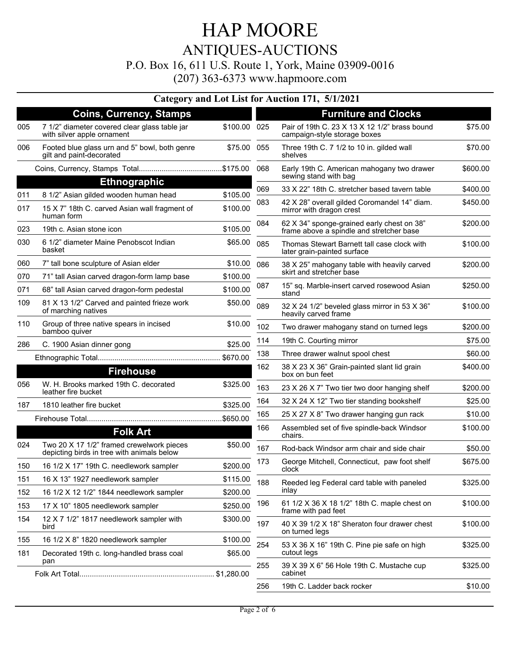### HAP MOORE ANTIQUES-AUCTIONS P.O. Box 16, 611 U.S. Route 1, York, Maine 03909-0016 (207) 363-6373 www.hapmoore.com

### **Category and Lot List for Auction 171, 5/1/2021**

|                  | <b>Coins, Currency, Stamps</b>                                                          |              |     | <b>Furniture and Clocks</b>                                                            |          |
|------------------|-----------------------------------------------------------------------------------------|--------------|-----|----------------------------------------------------------------------------------------|----------|
| 005              | 7 1/2" diameter covered clear glass table jar<br>with silver apple ornament             | \$100.00 025 |     | Pair of 19th C. 23 X 13 X 12 1/2" brass bound<br>campaign-style storage boxes          | \$75.00  |
| 006              | Footed blue glass urn and 5" bowl, both genre<br>gilt and paint-decorated               | \$75.00      | 055 | Three 19th C. 7 1/2 to 10 in. gilded wall<br>shelves                                   | \$70.00  |
|                  |                                                                                         |              | 068 | Early 19th C. American mahogany two drawer<br>sewing stand with bag                    | \$600.00 |
|                  | <b>Ethnographic</b>                                                                     |              | 069 | 33 X 22" 18th C. stretcher based tavern table                                          | \$400.00 |
| 011              | 8 1/2" Asian gilded wooden human head                                                   | \$105.00     | 083 | 42 X 28" overall gilded Coromandel 14" diam.                                           | \$450.00 |
| 017              | 15 X 7" 18th C. carved Asian wall fragment of<br>human form                             | \$100.00     |     | mirror with dragon crest                                                               |          |
| 023              | 19th c. Asian stone icon                                                                | \$105.00     | 084 | 62 X 34" sponge-grained early chest on 38"<br>frame above a spindle and stretcher base | \$200.00 |
| 030              | 6 1/2" diameter Maine Penobscot Indian<br>basket                                        | \$65.00      | 085 | Thomas Stewart Barnett tall case clock with<br>later grain-painted surface             | \$100.00 |
| 060              | 7" tall bone sculpture of Asian elder                                                   | \$10.00      | 086 | 38 X 25" mahogany table with heavily carved                                            | \$200.00 |
| 070              | 71" tall Asian carved dragon-form lamp base                                             | \$100.00     |     | skirt and stretcher base                                                               |          |
| 071              | 68" tall Asian carved dragon-form pedestal                                              | \$100.00     | 087 | 15" sq. Marble-insert carved rosewood Asian                                            | \$250.00 |
| 109              | 81 X 13 1/2" Carved and painted frieze work<br>of marching natives                      | \$50.00      | 089 | stand<br>32 X 24 1/2" beveled glass mirror in 53 X 36"<br>heavily carved frame         | \$100.00 |
| 110              | Group of three native spears in incised<br>bamboo quiver                                | \$10.00      | 102 | Two drawer mahogany stand on turned legs                                               | \$200.00 |
| 286              | C. 1900 Asian dinner gong                                                               | \$25.00      | 114 | 19th C. Courting mirror                                                                | \$75.00  |
|                  |                                                                                         | \$670.00     | 138 | Three drawer walnut spool chest                                                        | \$60.00  |
| <b>Firehouse</b> |                                                                                         |              | 162 | 38 X 23 X 36" Grain-painted slant lid grain<br>box on bun feet                         | \$400.00 |
| 056              | W. H. Brooks marked 19th C. decorated<br>leather fire bucket                            | \$325.00     | 163 | 23 X 26 X 7" Two tier two door hanging shelf                                           | \$200.00 |
| 187              | 1810 leather fire bucket                                                                | \$325.00     | 164 | 32 X 24 X 12" Two tier standing bookshelf                                              | \$25.00  |
|                  |                                                                                         | \$650.00     | 165 | 25 X 27 X 8" Two drawer hanging gun rack                                               | \$10.00  |
|                  | <b>Folk Art</b>                                                                         |              | 166 | Assembled set of five spindle-back Windsor<br>chairs.                                  | \$100.00 |
| 024              | Two 20 X 17 1/2" framed crewelwork pieces<br>depicting birds in tree with animals below | \$50.00      | 167 | Rod-back Windsor arm chair and side chair                                              | \$50.00  |
| 150              | 16 1/2 X 17" 19th C. needlework sampler                                                 | \$200.00     | 173 | George Mitchell, Connecticut, paw foot shelf<br>clock                                  | \$675.00 |
| 151              | 16 X 13" 1927 needlework sampler                                                        | \$115.00     | 188 | Reeded leg Federal card table with paneled                                             | \$325.00 |
| 152              | 16 1/2 X 12 1/2" 1844 needlework sampler                                                | \$200.00     |     | inlay                                                                                  |          |
| 153              | 17 X 10" 1805 needlework sampler                                                        | \$250.00     | 196 | 61 1/2 X 36 X 18 1/2" 18th C. maple chest on<br>frame with pad feet                    | \$100.00 |
| 154              | 12 X 7 1/2" 1817 needlework sampler with<br>bird                                        | \$300.00     | 197 | 40 X 39 1/2 X 18" Sheraton four drawer chest<br>on turned legs                         | \$100.00 |
| 155              | 16 1/2 X 8" 1820 needlework sampler                                                     | \$100.00     | 254 | 53 X 36 X 16" 19th C. Pine pie safe on high                                            | \$325.00 |
| 181              | Decorated 19th c. long-handled brass coal<br>pan                                        | \$65.00      |     | cutout legs                                                                            |          |
|                  |                                                                                         |              | 255 | 39 X 39 X 6" 56 Hole 19th C. Mustache cup<br>cabinet                                   | \$325.00 |
|                  |                                                                                         |              | 256 | 19th C. Ladder back rocker                                                             | \$10.00  |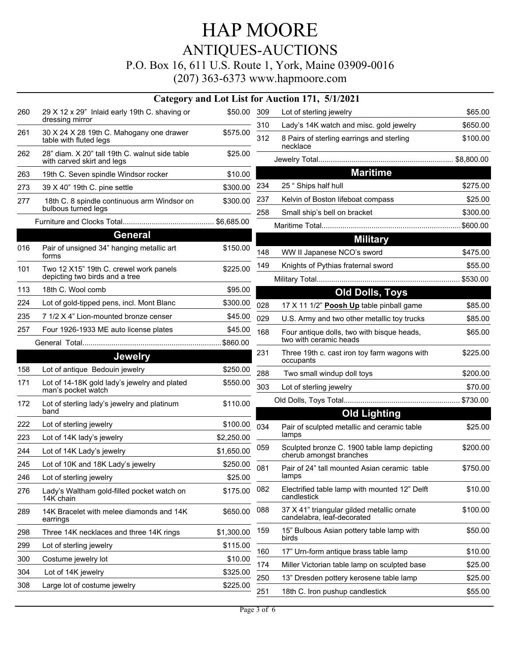# HAP MOORE ANTIQUES-AUCTIONS

P.O. Box 16, 611 U.S. Route 1, York, Maine 03909-0016

|     | Category and Lot List for A                                                  |            |            |
|-----|------------------------------------------------------------------------------|------------|------------|
| 260 | 29 X 12 x 29" Inlaid early 19th C. shaving or<br>dressing mirror             | \$50.00    | 309<br>310 |
| 261 | 30 X 24 X 28 19th C. Mahogany one drawer<br>table with fluted legs           | \$575.00   | 312        |
| 262 | 28" diam. X 20" tall 19th C. walnut side table<br>with carved skirt and legs | \$25.00    |            |
| 263 | 19th C. Seven spindle Windsor rocker                                         | \$10.00    |            |
| 273 | 39 X 40" 19th C. pine settle                                                 | \$300.00   | 234        |
| 277 | 18th C. 8 spindle continuous arm Windsor on<br>bulbous turned legs           | \$300.00   | 237<br>258 |
|     | General                                                                      |            |            |
|     |                                                                              |            |            |
| 016 | Pair of unsigned 34" hanging metallic art<br>forms                           | \$150.00   | 148        |
| 101 | Two 12 X15" 19th C. crewel work panels<br>depicting two birds and a tree     | \$225.00   | 149        |
| 113 | 18th C. Wool comb                                                            | \$95.00    |            |
| 224 | Lot of gold-tipped pens, incl. Mont Blanc                                    | \$300.00   | 028        |
| 235 | 7 1/2 X 4" Lion-mounted bronze censer                                        | \$45.00    | 029        |
| 257 | Four 1926-1933 ME auto license plates                                        | \$45.00    | 168        |
|     |                                                                              |            |            |
|     | <b>Jewelry</b>                                                               |            | 231        |
| 158 | Lot of antique Bedouin jewelry                                               | \$250.00   | 288        |
| 171 | Lot of 14-18K gold lady's jewelry and plated<br>man's pocket watch           | \$550.00   | 303        |
| 172 | Lot of sterling lady's jewelry and platinum<br>band                          | \$110.00   |            |
| 222 | Lot of sterling jewelry                                                      | \$100.00   | 034        |
| 223 | Lot of 14K lady's jewelry                                                    | \$2,250.00 |            |
| 244 | Lot of 14K Lady's jewelry                                                    | \$1,650.00 | 059        |
| 245 | Lot of 10K and 18K Lady's jewelry                                            | \$250.00   | 081        |
| 246 | Lot of sterling jewelry                                                      | \$25.00    |            |
| 276 | Lady's Waltham gold-filled pocket watch on<br>14K chain                      | \$175.00   | 082        |
| 289 | 14K Bracelet with melee diamonds and 14K<br>earrings                         | \$650.00   | 088        |
| 298 | Three 14K necklaces and three 14K rings                                      | \$1,300.00 | 159        |
| 299 | Lot of sterling jewelry                                                      | \$115.00   | 160        |
| 300 | Costume jewelry lot                                                          | \$10.00    | 174        |
|     |                                                                              |            |            |
| 304 | Lot of 14K jewelry                                                           | \$325.00   | 250        |

|     | or Auction 171, 5/1/2021                                                 |             |
|-----|--------------------------------------------------------------------------|-------------|
| 309 | Lot of sterling jewelry                                                  | \$65.00     |
| 310 | Lady's 14K watch and misc. gold jewelry                                  | \$650.00    |
| 312 | 8 Pairs of sterling earrings and sterling<br>necklace                    | \$100.00    |
|     |                                                                          |             |
|     | <b>Maritime</b>                                                          |             |
| 234 | 25 " Ships half hull                                                     | \$275.00    |
| 237 | Kelvin of Boston lifeboat compass                                        | \$25.00     |
| 258 | Small ship's bell on bracket                                             | \$300.00    |
|     | Maritime Total                                                           |             |
|     | <b>Military</b>                                                          |             |
| 148 | WW II Japanese NCO's sword                                               | \$475.00    |
| 149 | Knights of Pythias fraternal sword                                       | \$55.00     |
|     |                                                                          | …… \$530.00 |
|     | <b>Old Dolls, Toys</b>                                                   |             |
| 028 | 17 X 11 1/2" Poosh Up table pinball game                                 | \$85.00     |
| 029 | U.S. Army and two other metallic toy trucks                              | \$85.00     |
| 168 | Four antique dolls, two with bisque heads,<br>two with ceramic heads     | \$65.00     |
| 231 | Three 19th c. cast iron toy farm wagons with<br>occupants                | \$225.00    |
| 288 | Two small windup doll toys                                               | \$200.00    |
| 303 | Lot of sterling jewelry                                                  | \$70.00     |
|     |                                                                          |             |
|     | <b>Old Lighting</b>                                                      |             |
| 034 | Pair of sculpted metallic and ceramic table<br>lamps                     | \$25.00     |
| 059 | Sculpted bronze C. 1900 table lamp depicting<br>cherub amongst branches  | \$200.00    |
| 081 | Pair of 24" tall mounted Asian ceramic table<br>lamps                    | \$750.00    |
| 082 | Electrified table lamp with mounted 12" Delft<br>candlestick             | \$10.00     |
| 088 | 37 X 41" triangular gilded metallic ornate<br>candelabra, leaf-decorated | \$100.00    |
| 159 | 15" Bulbous Asian pottery table lamp with<br>birds                       | \$50.00     |
| 160 | 17" Urn-form antique brass table lamp                                    | \$10.00     |
| 174 | Miller Victorian table lamp on sculpted base                             | \$25.00     |
| 250 | 13" Dresden pottery kerosene table lamp                                  | \$25.00     |
| 251 | 18th C. Iron pushup candlestick                                          | \$55.00     |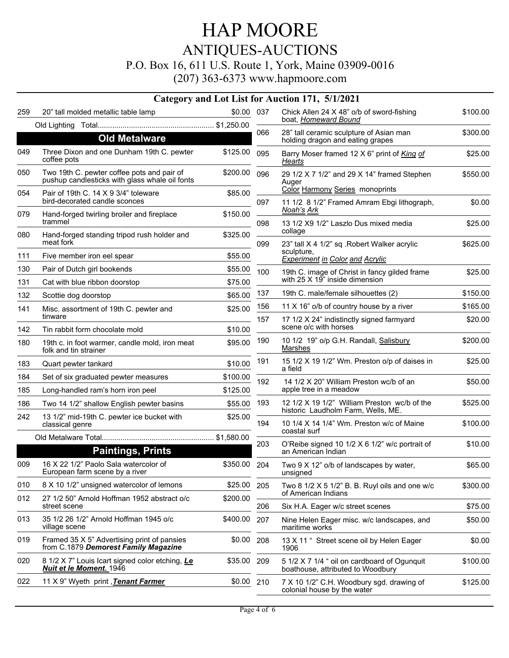## HAP MOORE ANTIQUES-AUCTIONS

#### P.O. Box 16, 611 U.S. Route 1, York, Maine 03909-0016

|     |                                                                                              |              |     | Category and Lot List for Auction 171, 5/1/2021                                    |          |
|-----|----------------------------------------------------------------------------------------------|--------------|-----|------------------------------------------------------------------------------------|----------|
| 259 | 20" tall molded metallic table lamp                                                          | \$0.00 037   |     | Chick Allen 24 X 48" o/b of sword-fishing<br>boat, Homeward Bound                  | \$100.00 |
|     |                                                                                              |              | 066 | 28" tall ceramic sculpture of Asian man                                            | \$300.00 |
|     | <b>Old Metalware</b>                                                                         |              |     | holding dragon and eating grapes                                                   |          |
| 049 | Three Dixon and one Dunham 19th C. pewter<br>coffee pots                                     | \$125.00     | 095 | Barry Moser framed 12 X 6" print of King of<br>Hearts                              | \$25.00  |
| 050 | Two 19th C. pewter coffee pots and pair of<br>pushup candlesticks with glass whale oil fonts | \$200.00     | 096 | 29 1/2 X 7 1/2" and 29 X 14" framed Stephen<br>Auger                               | \$550.00 |
| 054 | Pair of 19th C, 14 X 9 3/4" toleware<br>bird-decorated candle sconces                        | \$85.00      | 097 | Color Harmony Series monoprints<br>11 1/2 8 1/2" Framed Amram Ebgi lithograph,     | \$0.00   |
| 079 | Hand-forged twirling broiler and fireplace<br>trammel                                        | \$150.00     | 098 | <u>Noah's Ark</u><br>13 1/2 X9 1/2" Laszlo Dus mixed media                         | \$25.00  |
| 080 | Hand-forged standing tripod rush holder and<br>meat fork                                     | \$325.00     | 099 | collage<br>23" tall X 4 1/2" sq . Robert Walker acrylic                            | \$625.00 |
| 111 | Five member iron eel spear                                                                   | \$55.00      |     | sculpture.<br><b>Experiment in Color and Acrylic</b>                               |          |
| 130 | Pair of Dutch girl bookends                                                                  | \$55.00      | 100 | 19th C. image of Christ in fancy gilded frame                                      | \$25.00  |
| 131 | Cat with blue ribbon doorstop                                                                | \$75.00      |     | with 25 X 19" inside dimension                                                     |          |
| 132 | Scottie dog doorstop                                                                         | \$65.00      | 137 | 19th C. male/female silhouettes (2)                                                | \$150.00 |
| 141 | Misc. assortment of 19th C. pewter and                                                       | \$25.00      | 156 | 11 X 16" o/b of country house by a river                                           | \$165.00 |
| 142 | tinware<br>Tin rabbit form chocolate mold                                                    | \$10.00      | 157 | 17 1/2 X 24" indistinctly signed farmyard<br>scene o/c with horses                 | \$20.00  |
| 180 | 19th c. in foot warmer, candle mold, iron meat<br>folk and tin strainer                      | \$95.00      | 190 | 10 1/2 19" o/p G.H. Randall, Salisbury<br><b>Marshes</b>                           | \$200.00 |
| 183 | Quart pewter tankard                                                                         | \$10.00      | 191 | 15 1/2 X 19 1/2" Wm. Preston o/p of daises in<br>a field                           | \$25.00  |
| 184 | Set of six graduated pewter measures                                                         | \$100.00     | 192 | 14 1/2 X 20" William Preston wc/b of an                                            | \$50.00  |
| 185 | Long-handled ram's horn iron peel                                                            | \$125.00     |     | apple tree in a meadow                                                             |          |
| 186 | Two 14 1/2" shallow English pewter basins                                                    | \$55.00      | 193 | 12 1/2 X 19 1/2" William Preston wc/b of the<br>historic Laudholm Farm, Wells, ME. | \$525.00 |
| 242 | 13 1/2" mid-19th C. pewter ice bucket with<br>classical genre                                | \$25.00      | 194 | 10 1/4 X 14 1/4" Wm. Preston w/c of Maine<br>coastal surf                          | \$100.00 |
|     |                                                                                              |              | 203 | O'Reibe signed 10 1/2 X 6 1/2" w/c portrait of                                     | \$10.00  |
|     | <b>Paintings, Prints</b>                                                                     |              |     | an American Indian                                                                 |          |
| 009 | 16 X 22 1/2" Paolo Sala watercolor of<br>European farm scene by a river                      | \$350.00 204 |     | Two 9 X 12" o/b of landscapes by water,<br>unsigned                                | \$65.00  |
| 010 | 8 X 10 1/2" unsigned watercolor of lemons                                                    | \$25.00      | 205 | Two 8 $1/2$ X 5 $1/2$ " B. B. Ruyl oils and one w/c                                | \$300.00 |
| 012 | 27 1/2 50" Arnold Hoffman 1952 abstract o/c<br>street scene                                  | \$200.00     | 206 | of American Indians<br>Six H.A. Eager w/c street scenes                            | \$75.00  |
| 013 | 35 1/2 26 1/2" Arnold Hoffman 1945 o/c<br>village scene                                      | \$400.00     | 207 | Nine Helen Eager misc. w/c landscapes, and<br>maritime works                       | \$50.00  |
| 019 | Framed 35 X 5" Advertising print of pansies<br>from C.1879 Demorest Family Magazine          | \$0.00       | 208 | 13 X 11 " Street scene oil by Helen Eager<br>1906                                  | \$0.00   |
| 020 | 8 1/2 X 7" Louis Icart signed color etching, Le<br><b>Nuit et le Moment.</b> 1946            | \$35.00      | 209 | 5 1/2 X 7 1/4 " oil on cardboard of Ogunquit<br>boathouse, attributed to Woodbury  | \$100.00 |
| 022 | 11 X 9" Wyeth print, Tenant Farmer                                                           | \$0.00       | 210 | 7 X 10 1/2" C.H. Woodbury sgd. drawing of<br>colonial house by the water           | \$125.00 |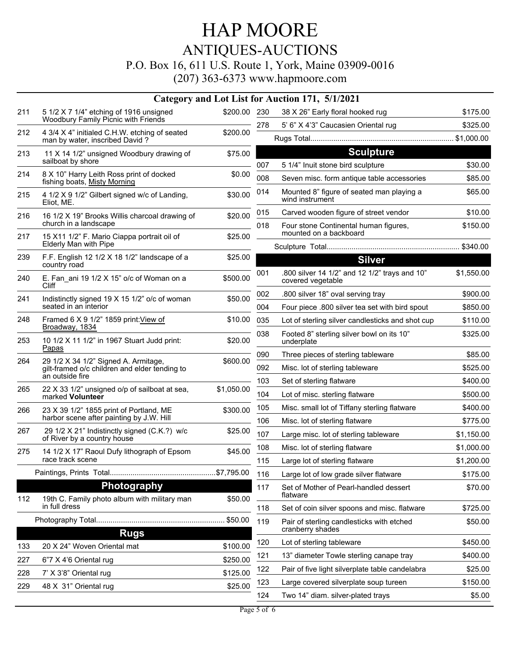## HAP MOORE ANTIQUES-AUCTIONS

#### P.O. Box 16, 611 U.S. Route 1, York, Maine 03909-0016

|             |                                                                                                          |              |                                                               | Category and Lot List for Auction 171, 5/1/2021                    |            |
|-------------|----------------------------------------------------------------------------------------------------------|--------------|---------------------------------------------------------------|--------------------------------------------------------------------|------------|
| 211         | 5 1/2 X 7 1/4" etching of 1916 unsigned<br>Woodbury Family Picnic with Friends                           | \$200.00 230 |                                                               | 38 X 26" Early floral hooked rug                                   | \$175.00   |
| 212         | 4 3/4 X 4" initialed C.H.W. etching of seated                                                            | \$200.00     | 278                                                           | 5' 6" X 4'3" Caucasien Oriental rug                                | \$325.00   |
|             | man by water, inscribed David?                                                                           |              |                                                               |                                                                    |            |
| 213         | 11 X 14 1/2" unsigned Woodbury drawing of<br>sailboat by shore                                           | \$75.00      |                                                               | <b>Sculpture</b>                                                   |            |
| 214         | 8 X 10" Harry Leith Ross print of docked                                                                 | \$0.00       | 007                                                           | 5 1/4" Inuit stone bird sculpture                                  | \$30.00    |
|             | fishing boats, Misty Morning                                                                             |              | 008                                                           | Seven misc. form antique table accessories                         | \$85.00    |
| 215         | 4 1/2 X 9 1/2" Gilbert signed w/c of Landing,<br>Eliot, ME.                                              | \$30.00      | 014                                                           | Mounted 8" figure of seated man playing a<br>wind instrument       | \$65.00    |
| 216         | 16 1/2 X 19" Brooks Willis charcoal drawing of                                                           | \$20.00      | 015                                                           | Carved wooden figure of street vendor                              | \$10.00    |
|             | church in a landscape                                                                                    |              | 018                                                           | Four stone Continental human figures,<br>mounted on a backboard    | \$150.00   |
| 217         | 15 X11 1/2" F. Mario Ciappa portrait oil of<br>Elderly Man with Pipe                                     | \$25.00      |                                                               |                                                                    |            |
| 239         | F.F. English 12 1/2 X 18 1/2" landscape of a<br>country road                                             | \$25.00      |                                                               | <b>Silver</b>                                                      |            |
| 240         | E. Fan ani 19 1/2 X 15" o/c of Woman on a<br><b>Cliff</b>                                                | \$500.00     | 001                                                           | .800 silver 14 1/2" and 12 1/2" trays and 10"<br>covered vegetable | \$1,550.00 |
| 241         | Indistinctly signed 19 X 15 1/2" o/c of woman<br>seated in an interior                                   | \$50.00      | 002                                                           | .800 silver 18" oval serving tray                                  | \$900.00   |
|             |                                                                                                          |              | 004                                                           | Four piece .800 silver tea set with bird spout                     | \$850.00   |
| 248         | Framed 6 X 9 1/2" 1859 print: View of<br>Broadway, 1834                                                  | \$10.00      | 035                                                           | Lot of sterling silver candlesticks and shot cup                   | \$110.00   |
| 253         | 10 1/2 X 11 1/2" in 1967 Stuart Judd print:<br>Papas                                                     | \$20.00      | 038                                                           | Footed 8" sterling silver bowl on its 10"<br>underplate            | \$325.00   |
| 264         | 29 1/2 X 34 1/2" Signed A. Armitage,<br>gilt-framed o/c children and elder tending to<br>an outside fire | \$600.00     | 090                                                           | Three pieces of sterling tableware                                 | \$85.00    |
|             |                                                                                                          |              | 092                                                           | Misc. lot of sterling tableware                                    | \$525.00   |
|             |                                                                                                          |              | 103                                                           | Set of sterling flatware                                           | \$400.00   |
| 265         | 22 X 33 1/2" unsigned o/p of sailboat at sea,<br>marked Volunteer                                        | \$1,050.00   | 104                                                           | Lot of misc. sterling flatware                                     | \$500.00   |
| 266         | 23 X 39 1/2" 1855 print of Portland, ME                                                                  | \$300.00     | 105                                                           | Misc. small lot of Tiffany sterling flatware                       | \$400.00   |
|             | harbor scene after painting by J.W. Hill                                                                 |              | 106                                                           | Misc. lot of sterling flatware                                     | \$775.00   |
| 267         | 29 1/2 X 21" Indistinctly signed (C.K.?) w/c<br>of River by a country house                              | \$25.00      | 107                                                           | Large misc. lot of sterling tableware                              | \$1,150.00 |
| 275         | 14 1/2 X 17" Raoul Dufy lithograph of Epsom                                                              | \$45.00      | 108                                                           | Misc. lot of sterling flatware                                     | \$1,000.00 |
|             | race track scene                                                                                         |              | 115                                                           | Large lot of sterling flatware                                     | \$1,200.00 |
|             |                                                                                                          |              | 116                                                           | Large lot of low grade silver flatware                             | \$175.00   |
|             | Photography                                                                                              |              | 117                                                           | Set of Mother of Pearl-handled dessert                             | \$70.00    |
| 112         | 19th C. Family photo album with military man<br>in full dress                                            | \$50.00      | 118                                                           | flatware<br>Set of coin silver spoons and misc. flatware           | \$725.00   |
|             |                                                                                                          |              | 119                                                           |                                                                    |            |
| <b>Rugs</b> |                                                                                                          |              | Pair of sterling candlesticks with etched<br>cranberry shades | \$50.00                                                            |            |
| 133         | 20 X 24" Woven Oriental mat                                                                              | \$100.00     | 120                                                           | Lot of sterling tableware                                          | \$450.00   |
| 227         | 6"7 X 4'6 Oriental rug                                                                                   | \$250.00     | 121                                                           | 13" diameter Towle sterling canape tray                            | \$400.00   |
| 228         | 7' X 3'8" Oriental rug                                                                                   | \$125.00     | 122                                                           | Pair of five light silverplate table candelabra                    | \$25.00    |
| 229         | 48 X 31" Oriental rug                                                                                    | \$25.00      | 123                                                           | Large covered silverplate soup tureen                              | \$150.00   |
|             |                                                                                                          |              | 124                                                           | Two 14" diam. silver-plated trays                                  | \$5.00     |